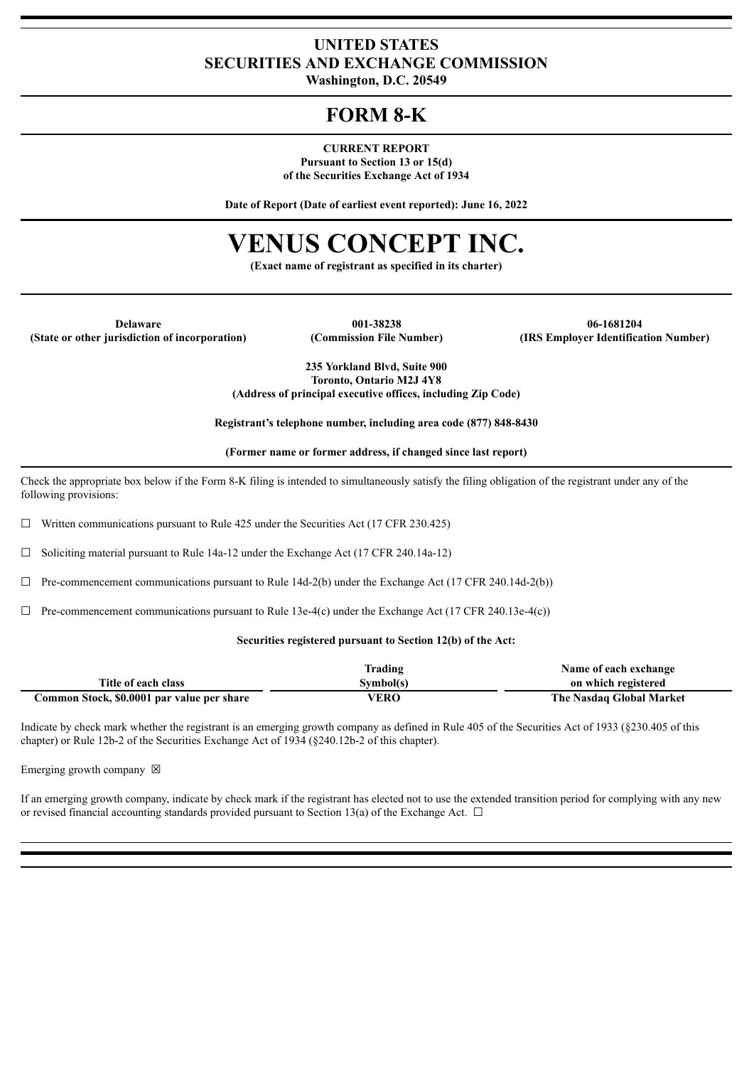### **UNITED STATES SECURITIES AND EXCHANGE COMMISSION**

**Washington, D.C. 20549**

## **FORM 8-K**

#### **CURRENT REPORT**

**Pursuant to Section 13 or 15(d) of the Securities Exchange Act of 1934**

**Date of Report (Date of earliest event reported): June 16, 2022**

# **VENUS CONCEPT INC.**

**(Exact name of registrant as specified in its charter)**

**(State or other jurisdiction of incorporation) (Commission File Number) (IRS Employer Identification Number)**

**Delaware 001-38238 06-1681204**

**235 Yorkland Blvd, Suite 900 Toronto, Ontario M2J 4Y8 (Address of principal executive offices, including Zip Code)**

**Registrant's telephone number, including area code (877) 848-8430**

**(Former name or former address, if changed since last report)**

Check the appropriate box below if the Form 8-K filing is intended to simultaneously satisfy the filing obligation of the registrant under any of the following provisions:

 $\Box$  Written communications pursuant to Rule 425 under the Securities Act (17 CFR 230.425)

 $\Box$  Soliciting material pursuant to Rule 14a-12 under the Exchange Act (17 CFR 240.14a-12)

 $\Box$  Pre-commencement communications pursuant to Rule 14d-2(b) under the Exchange Act (17 CFR 240.14d-2(b))

 $\Box$  Pre-commencement communications pursuant to Rule 13e-4(c) under the Exchange Act (17 CFR 240.13e-4(c))

#### **Securities registered pursuant to Section 12(b) of the Act:**

|                                            | Trading   | Name of each exchange    |
|--------------------------------------------|-----------|--------------------------|
| Title of each class                        | Symbol(s) | on which registered      |
| Common Stock, \$0.0001 par value per share | VERO      | The Nasdaq Global Market |

Indicate by check mark whether the registrant is an emerging growth company as defined in Rule 405 of the Securities Act of 1933 (§230.405 of this chapter) or Rule 12b-2 of the Securities Exchange Act of 1934 (§240.12b-2 of this chapter).

Emerging growth company  $\boxtimes$ 

If an emerging growth company, indicate by check mark if the registrant has elected not to use the extended transition period for complying with any new or revised financial accounting standards provided pursuant to Section 13(a) of the Exchange Act.  $\Box$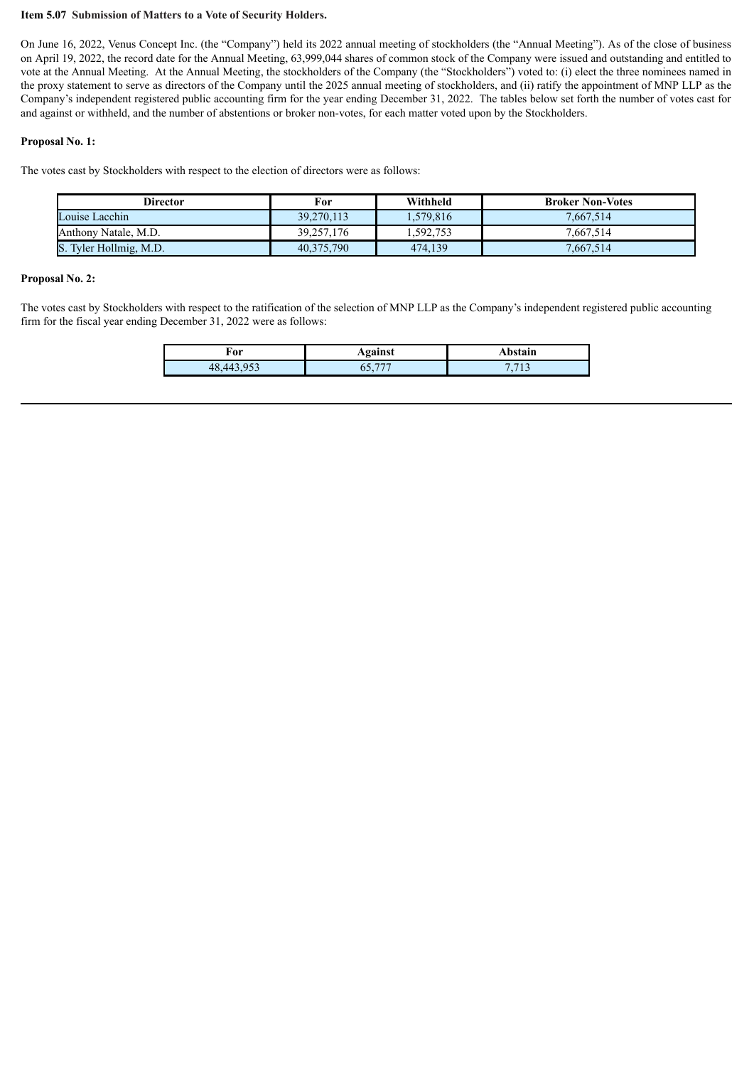#### **Item 5.07 Submission of Matters to a Vote of Security Holders.**

On June 16, 2022, Venus Concept Inc. (the "Company") held its 2022 annual meeting of stockholders (the "Annual Meeting"). As of the close of business on April 19, 2022, the record date for the Annual Meeting, 63,999,044 shares of common stock of the Company were issued and outstanding and entitled to vote at the Annual Meeting. At the Annual Meeting, the stockholders of the Company (the "Stockholders") voted to: (i) elect the three nominees named in the proxy statement to serve as directors of the Company until the 2025 annual meeting of stockholders, and (ii) ratify the appointment of MNP LLP as the Company's independent registered public accounting firm for the year ending December 31, 2022. The tables below set forth the number of votes cast for and against or withheld, and the number of abstentions or broker non-votes, for each matter voted upon by the Stockholders.

#### **Proposal No. 1:**

The votes cast by Stockholders with respect to the election of directors were as follows:

| Director               | For        | Withheld  | <b>Broker Non-Votes</b> |
|------------------------|------------|-----------|-------------------------|
| Louise Lacchin         | 39.270.113 | 1,579,816 | 7.667.514               |
| Anthony Natale, M.D.   | 39,257,176 | .592,753  | 7.667.514               |
| S. Tyler Hollmig, M.D. | 40,375,790 | 474,139   | 7.667.514               |

#### **Proposal No. 2:**

The votes cast by Stockholders with respect to the ratification of the selection of MNP LLP as the Company's independent registered public accounting firm for the fiscal year ending December 31, 2022 were as follows:

| For                  | <br>ашм | .          |
|----------------------|---------|------------|
| $\sim$ $\sim$ $\sim$ |         | 7710<br>л. |